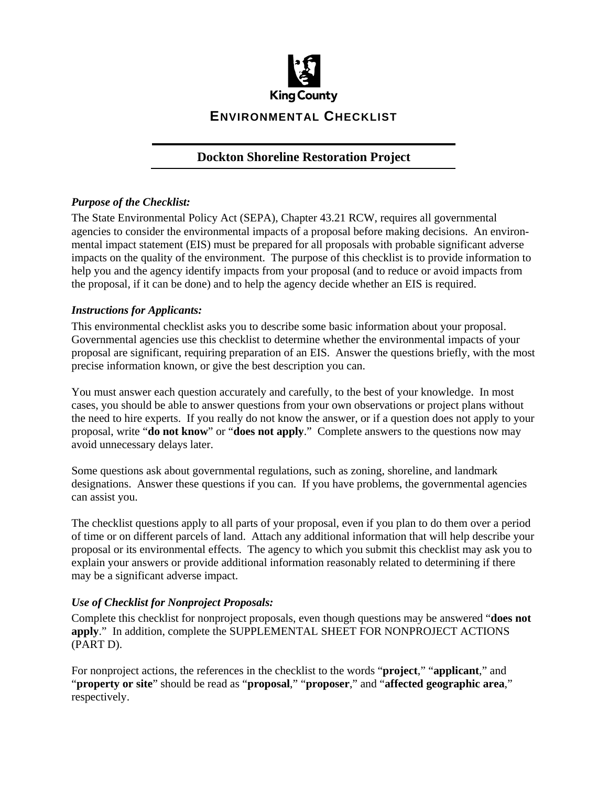

# **ENVIRONMENTAL CHECKLIST**

# **Dockton Shoreline Restoration Project**

#### *Purpose of the Checklist:*

The State Environmental Policy Act (SEPA), Chapter 43.21 RCW, requires all governmental agencies to consider the environmental impacts of a proposal before making decisions. An environmental impact statement (EIS) must be prepared for all proposals with probable significant adverse impacts on the quality of the environment. The purpose of this checklist is to provide information to help you and the agency identify impacts from your proposal (and to reduce or avoid impacts from the proposal, if it can be done) and to help the agency decide whether an EIS is required.

#### *Instructions for Applicants:*

This environmental checklist asks you to describe some basic information about your proposal. Governmental agencies use this checklist to determine whether the environmental impacts of your proposal are significant, requiring preparation of an EIS. Answer the questions briefly, with the most precise information known, or give the best description you can.

You must answer each question accurately and carefully, to the best of your knowledge. In most cases, you should be able to answer questions from your own observations or project plans without the need to hire experts. If you really do not know the answer, or if a question does not apply to your proposal, write "**do not know**" or "**does not apply**." Complete answers to the questions now may avoid unnecessary delays later.

Some questions ask about governmental regulations, such as zoning, shoreline, and landmark designations. Answer these questions if you can. If you have problems, the governmental agencies can assist you.

The checklist questions apply to all parts of your proposal, even if you plan to do them over a period of time or on different parcels of land. Attach any additional information that will help describe your proposal or its environmental effects. The agency to which you submit this checklist may ask you to explain your answers or provide additional information reasonably related to determining if there may be a significant adverse impact.

#### *Use of Checklist for Nonproject Proposals:*

Complete this checklist for nonproject proposals, even though questions may be answered "**does not apply**." In addition, complete the SUPPLEMENTAL SHEET FOR NONPROJECT ACTIONS (PART D).

For nonproject actions, the references in the checklist to the words "**project**," "**applicant**," and "**property or site**" should be read as "**proposal**," "**proposer**," and "**affected geographic area**," respectively.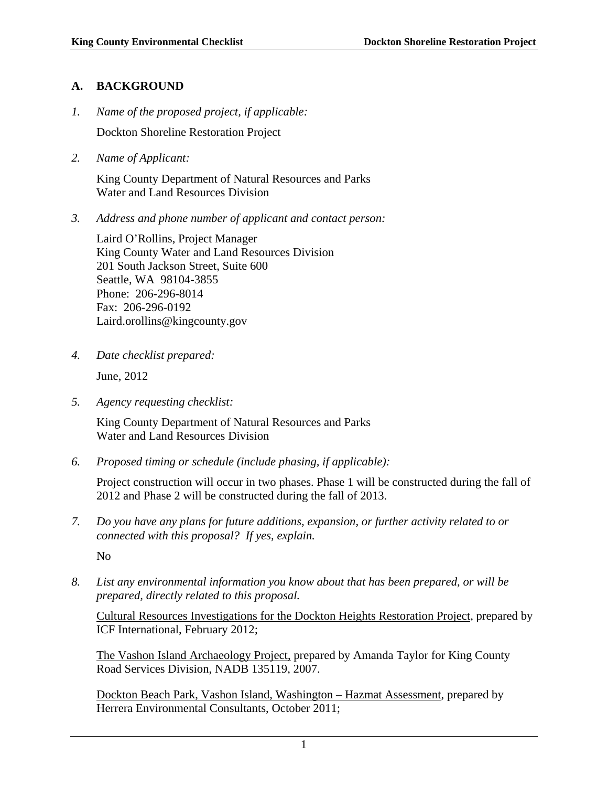### **A. BACKGROUND**

*1. Name of the proposed project, if applicable:* 

Dockton Shoreline Restoration Project

*2. Name of Applicant:* 

King County Department of Natural Resources and Parks Water and Land Resources Division

*3. Address and phone number of applicant and contact person:* 

Laird O'Rollins, Project Manager King County Water and Land Resources Division 201 South Jackson Street, Suite 600 Seattle, WA 98104-3855 Phone: 206-296-8014 Fax: 206-296-0192 Laird.orollins@kingcounty.gov

*4. Date checklist prepared:* 

June, 2012

*5. Agency requesting checklist:* 

King County Department of Natural Resources and Parks Water and Land Resources Division

*6. Proposed timing or schedule (include phasing, if applicable):* 

Project construction will occur in two phases. Phase 1 will be constructed during the fall of 2012 and Phase 2 will be constructed during the fall of 2013.

*7. Do you have any plans for future additions, expansion, or further activity related to or connected with this proposal? If yes, explain.* 

No

*8. List any environmental information you know about that has been prepared, or will be prepared, directly related to this proposal.* 

Cultural Resources Investigations for the Dockton Heights Restoration Project, prepared by ICF International, February 2012;

The Vashon Island Archaeology Project, prepared by Amanda Taylor for King County Road Services Division, NADB 135119, 2007.

Dockton Beach Park, Vashon Island, Washington – Hazmat Assessment, prepared by Herrera Environmental Consultants, October 2011;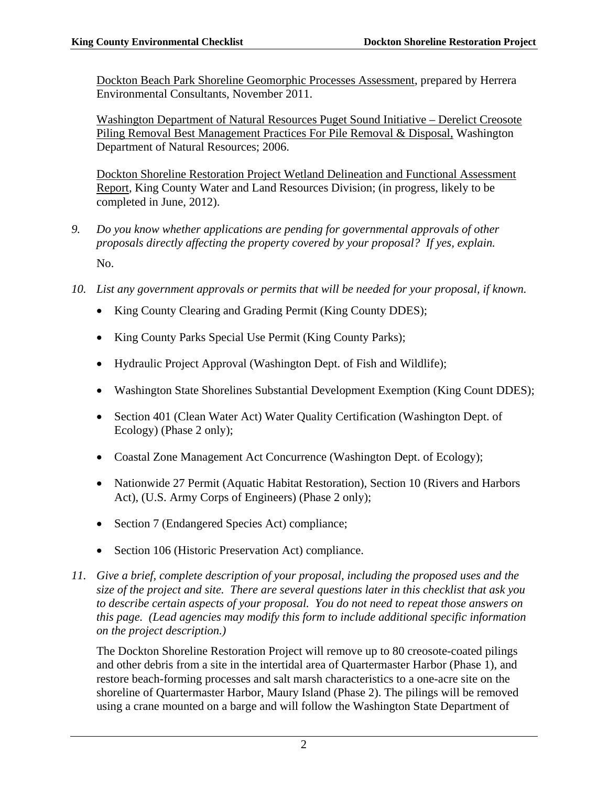Dockton Beach Park Shoreline Geomorphic Processes Assessment, prepared by Herrera Environmental Consultants, November 2011.

Washington Department of Natural Resources Puget Sound Initiative – Derelict Creosote Piling Removal Best Management Practices For Pile Removal & Disposal, Washington Department of Natural Resources; 2006.

Dockton Shoreline Restoration Project Wetland Delineation and Functional Assessment Report, King County Water and Land Resources Division; (in progress, likely to be completed in June, 2012).

- *9. Do you know whether applications are pending for governmental approvals of other proposals directly affecting the property covered by your proposal? If yes, explain.*  No.
- *10. List any government approvals or permits that will be needed for your proposal, if known.* 
	- King County Clearing and Grading Permit (King County DDES);
	- King County Parks Special Use Permit (King County Parks);
	- Hydraulic Project Approval (Washington Dept. of Fish and Wildlife);
	- Washington State Shorelines Substantial Development Exemption (King Count DDES);
	- Section 401 (Clean Water Act) Water Quality Certification (Washington Dept. of Ecology) (Phase 2 only);
	- Coastal Zone Management Act Concurrence (Washington Dept. of Ecology);
	- Nationwide 27 Permit (Aquatic Habitat Restoration), Section 10 (Rivers and Harbors Act), (U.S. Army Corps of Engineers) (Phase 2 only);
	- Section 7 (Endangered Species Act) compliance;
	- Section 106 (Historic Preservation Act) compliance.
- *11. Give a brief, complete description of your proposal, including the proposed uses and the size of the project and site. There are several questions later in this checklist that ask you to describe certain aspects of your proposal. You do not need to repeat those answers on this page. (Lead agencies may modify this form to include additional specific information on the project description.)*

The Dockton Shoreline Restoration Project will remove up to 80 creosote-coated pilings and other debris from a site in the intertidal area of Quartermaster Harbor (Phase 1), and restore beach-forming processes and salt marsh characteristics to a one-acre site on the shoreline of Quartermaster Harbor, Maury Island (Phase 2). The pilings will be removed using a crane mounted on a barge and will follow the Washington State Department of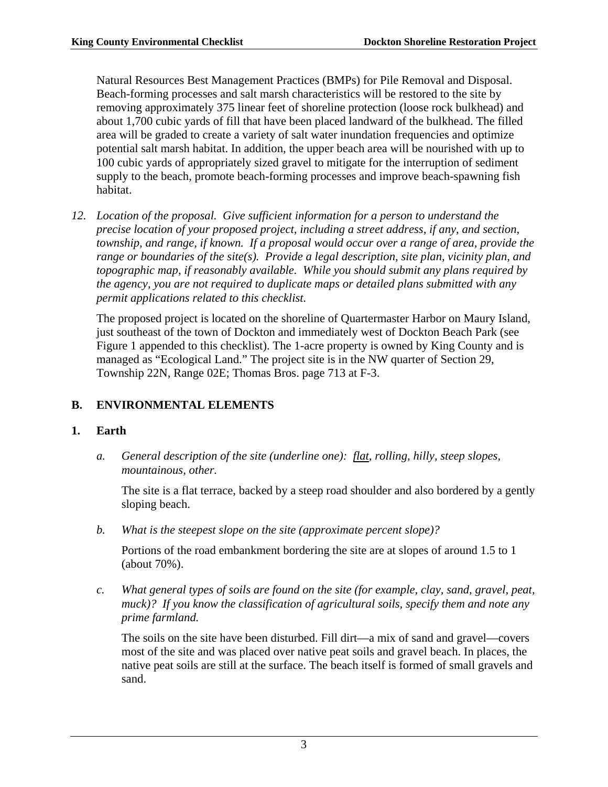Natural Resources Best Management Practices (BMPs) for Pile Removal and Disposal. Beach-forming processes and salt marsh characteristics will be restored to the site by removing approximately 375 linear feet of shoreline protection (loose rock bulkhead) and about 1,700 cubic yards of fill that have been placed landward of the bulkhead. The filled area will be graded to create a variety of salt water inundation frequencies and optimize potential salt marsh habitat. In addition, the upper beach area will be nourished with up to 100 cubic yards of appropriately sized gravel to mitigate for the interruption of sediment supply to the beach, promote beach-forming processes and improve beach-spawning fish habitat.

*12. Location of the proposal. Give sufficient information for a person to understand the precise location of your proposed project, including a street address, if any, and section, township, and range, if known. If a proposal would occur over a range of area, provide the range or boundaries of the site(s). Provide a legal description, site plan, vicinity plan, and topographic map, if reasonably available. While you should submit any plans required by the agency, you are not required to duplicate maps or detailed plans submitted with any permit applications related to this checklist.* 

The proposed project is located on the shoreline of Quartermaster Harbor on Maury Island, just southeast of the town of Dockton and immediately west of Dockton Beach Park (see Figure 1 appended to this checklist). The 1-acre property is owned by King County and is managed as "Ecological Land." The project site is in the NW quarter of Section 29, Township 22N, Range 02E; Thomas Bros. page 713 at F-3.

# **B. ENVIRONMENTAL ELEMENTS**

# **1. Earth**

*a. General description of the site (underline one): flat, rolling, hilly, steep slopes, mountainous, other.* 

The site is a flat terrace, backed by a steep road shoulder and also bordered by a gently sloping beach.

*b. What is the steepest slope on the site (approximate percent slope)?* 

Portions of the road embankment bordering the site are at slopes of around 1.5 to 1 (about 70%).

*c. What general types of soils are found on the site (for example, clay, sand, gravel, peat, muck)? If you know the classification of agricultural soils, specify them and note any prime farmland.* 

The soils on the site have been disturbed. Fill dirt—a mix of sand and gravel—covers most of the site and was placed over native peat soils and gravel beach. In places, the native peat soils are still at the surface. The beach itself is formed of small gravels and sand.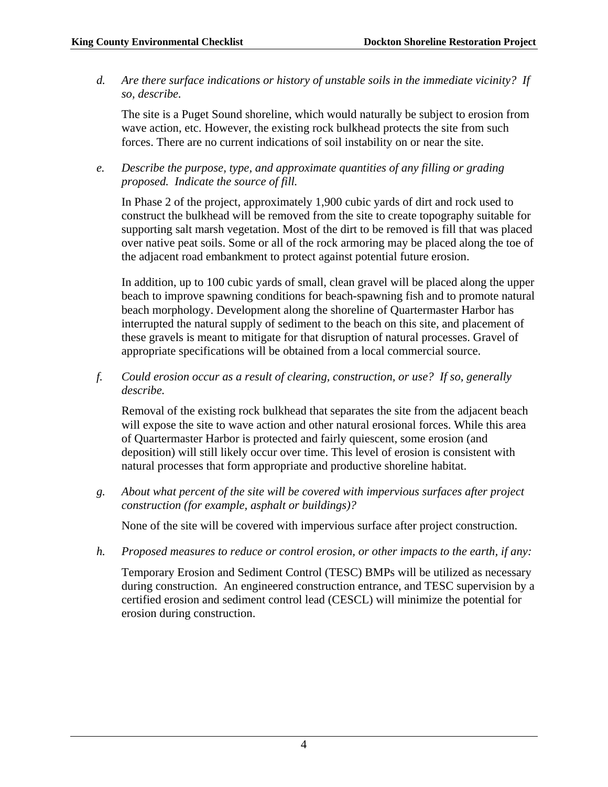*d. Are there surface indications or history of unstable soils in the immediate vicinity? If so, describe.* 

The site is a Puget Sound shoreline, which would naturally be subject to erosion from wave action, etc. However, the existing rock bulkhead protects the site from such forces. There are no current indications of soil instability on or near the site.

*e. Describe the purpose, type, and approximate quantities of any filling or grading proposed. Indicate the source of fill.* 

In Phase 2 of the project, approximately 1,900 cubic yards of dirt and rock used to construct the bulkhead will be removed from the site to create topography suitable for supporting salt marsh vegetation. Most of the dirt to be removed is fill that was placed over native peat soils. Some or all of the rock armoring may be placed along the toe of the adjacent road embankment to protect against potential future erosion.

In addition, up to 100 cubic yards of small, clean gravel will be placed along the upper beach to improve spawning conditions for beach-spawning fish and to promote natural beach morphology. Development along the shoreline of Quartermaster Harbor has interrupted the natural supply of sediment to the beach on this site, and placement of these gravels is meant to mitigate for that disruption of natural processes. Gravel of appropriate specifications will be obtained from a local commercial source.

*f. Could erosion occur as a result of clearing, construction, or use? If so, generally describe.* 

Removal of the existing rock bulkhead that separates the site from the adjacent beach will expose the site to wave action and other natural erosional forces. While this area of Quartermaster Harbor is protected and fairly quiescent, some erosion (and deposition) will still likely occur over time. This level of erosion is consistent with natural processes that form appropriate and productive shoreline habitat.

*g. About what percent of the site will be covered with impervious surfaces after project construction (for example, asphalt or buildings)?* 

None of the site will be covered with impervious surface after project construction.

*h. Proposed measures to reduce or control erosion, or other impacts to the earth, if any:* 

Temporary Erosion and Sediment Control (TESC) BMPs will be utilized as necessary during construction. An engineered construction entrance, and TESC supervision by a certified erosion and sediment control lead (CESCL) will minimize the potential for erosion during construction.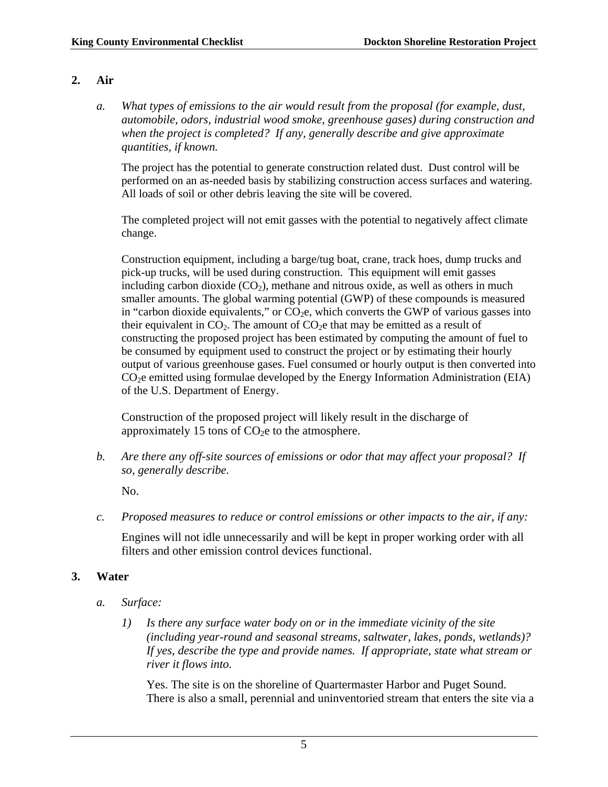### **2. Air**

*a. What types of emissions to the air would result from the proposal (for example, dust, automobile, odors, industrial wood smoke, greenhouse gases) during construction and when the project is completed? If any, generally describe and give approximate quantities, if known.* 

The project has the potential to generate construction related dust. Dust control will be performed on an as-needed basis by stabilizing construction access surfaces and watering. All loads of soil or other debris leaving the site will be covered.

The completed project will not emit gasses with the potential to negatively affect climate change.

Construction equipment, including a barge/tug boat, crane, track hoes, dump trucks and pick-up trucks, will be used during construction. This equipment will emit gasses including carbon dioxide  $(CO<sub>2</sub>)$ , methane and nitrous oxide, as well as others in much smaller amounts. The global warming potential (GWP) of these compounds is measured in "carbon dioxide equivalents," or  $CO<sub>2</sub>e$ , which converts the GWP of various gasses into their equivalent in  $CO<sub>2</sub>$ . The amount of  $CO<sub>2</sub>e$  that may be emitted as a result of constructing the proposed project has been estimated by computing the amount of fuel to be consumed by equipment used to construct the project or by estimating their hourly output of various greenhouse gases. Fuel consumed or hourly output is then converted into  $CO<sub>2</sub>e$  emitted using formulae developed by the Energy Information Administration (EIA) of the U.S. Department of Energy.

Construction of the proposed project will likely result in the discharge of approximately 15 tons of  $CO<sub>2</sub>e$  to the atmosphere.

*b. Are there any off-site sources of emissions or odor that may affect your proposal? If so, generally describe.* 

No.

*c. Proposed measures to reduce or control emissions or other impacts to the air, if any:* 

Engines will not idle unnecessarily and will be kept in proper working order with all filters and other emission control devices functional.

### **3. Water**

- *a. Surface:* 
	- *1) Is there any surface water body on or in the immediate vicinity of the site (including year-round and seasonal streams, saltwater, lakes, ponds, wetlands)? If yes, describe the type and provide names. If appropriate, state what stream or river it flows into.*

Yes. The site is on the shoreline of Quartermaster Harbor and Puget Sound. There is also a small, perennial and uninventoried stream that enters the site via a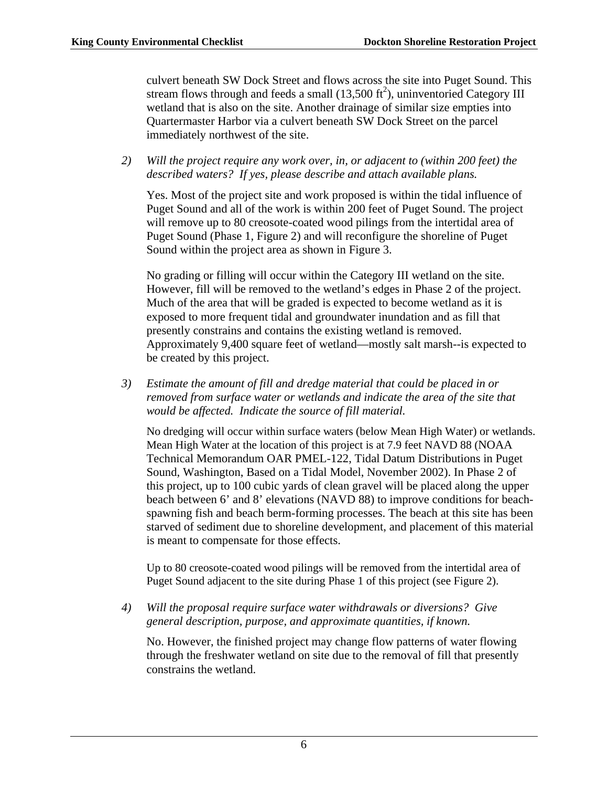culvert beneath SW Dock Street and flows across the site into Puget Sound. This stream flows through and feeds a small  $(13,500 \text{ ft}^2)$ , uninventoried Category III wetland that is also on the site. Another drainage of similar size empties into Quartermaster Harbor via a culvert beneath SW Dock Street on the parcel immediately northwest of the site.

*2) Will the project require any work over, in, or adjacent to (within 200 feet) the described waters? If yes, please describe and attach available plans.* 

Yes. Most of the project site and work proposed is within the tidal influence of Puget Sound and all of the work is within 200 feet of Puget Sound. The project will remove up to 80 creosote-coated wood pilings from the intertidal area of Puget Sound (Phase 1, Figure 2) and will reconfigure the shoreline of Puget Sound within the project area as shown in Figure 3.

No grading or filling will occur within the Category III wetland on the site. However, fill will be removed to the wetland's edges in Phase 2 of the project. Much of the area that will be graded is expected to become wetland as it is exposed to more frequent tidal and groundwater inundation and as fill that presently constrains and contains the existing wetland is removed. Approximately 9,400 square feet of wetland—mostly salt marsh--is expected to be created by this project.

*3) Estimate the amount of fill and dredge material that could be placed in or removed from surface water or wetlands and indicate the area of the site that would be affected. Indicate the source of fill material.* 

No dredging will occur within surface waters (below Mean High Water) or wetlands. Mean High Water at the location of this project is at 7.9 feet NAVD 88 (NOAA Technical Memorandum OAR PMEL-122, Tidal Datum Distributions in Puget Sound, Washington, Based on a Tidal Model, November 2002). In Phase 2 of this project, up to 100 cubic yards of clean gravel will be placed along the upper beach between 6' and 8' elevations (NAVD 88) to improve conditions for beachspawning fish and beach berm-forming processes. The beach at this site has been starved of sediment due to shoreline development, and placement of this material is meant to compensate for those effects.

Up to 80 creosote-coated wood pilings will be removed from the intertidal area of Puget Sound adjacent to the site during Phase 1 of this project (see Figure 2).

*4) Will the proposal require surface water withdrawals or diversions? Give general description, purpose, and approximate quantities, if known.* 

No. However, the finished project may change flow patterns of water flowing through the freshwater wetland on site due to the removal of fill that presently constrains the wetland.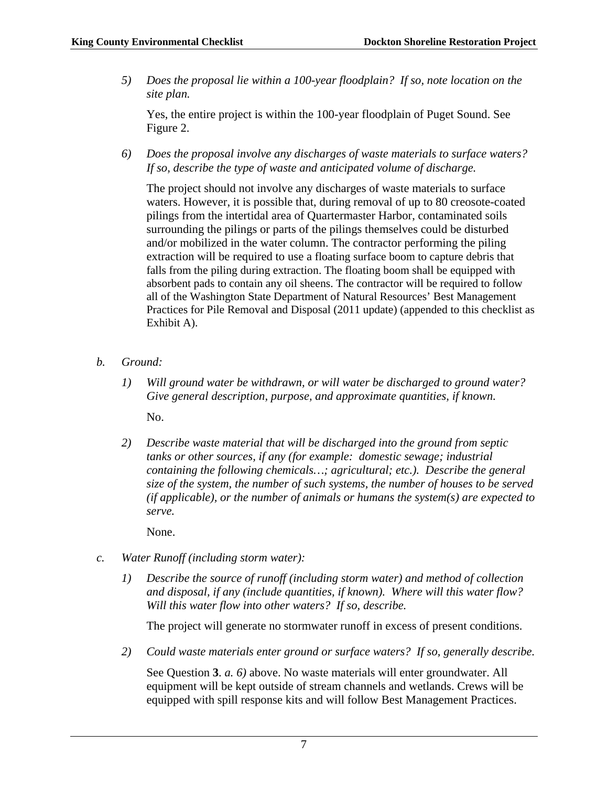*5) Does the proposal lie within a 100-year floodplain? If so, note location on the site plan.* 

Yes, the entire project is within the 100-year floodplain of Puget Sound. See Figure 2.

*6) Does the proposal involve any discharges of waste materials to surface waters? If so, describe the type of waste and anticipated volume of discharge.* 

The project should not involve any discharges of waste materials to surface waters. However, it is possible that, during removal of up to 80 creosote-coated pilings from the intertidal area of Quartermaster Harbor, contaminated soils surrounding the pilings or parts of the pilings themselves could be disturbed and/or mobilized in the water column. The contractor performing the piling extraction will be required to use a floating surface boom to capture debris that falls from the piling during extraction. The floating boom shall be equipped with absorbent pads to contain any oil sheens. The contractor will be required to follow all of the Washington State Department of Natural Resources' Best Management Practices for Pile Removal and Disposal (2011 update) (appended to this checklist as Exhibit A).

- *b. Ground:* 
	- *1) Will ground water be withdrawn, or will water be discharged to ground water? Give general description, purpose, and approximate quantities, if known.*  No.
	- *2) Describe waste material that will be discharged into the ground from septic tanks or other sources, if any (for example: domestic sewage; industrial containing the following chemicals…; agricultural; etc.). Describe the general size of the system, the number of such systems, the number of houses to be served (if applicable), or the number of animals or humans the system(s) are expected to serve.*

None.

- *c. Water Runoff (including storm water):* 
	- *1) Describe the source of runoff (including storm water) and method of collection and disposal, if any (include quantities, if known). Where will this water flow? Will this water flow into other waters? If so, describe.*

The project will generate no stormwater runoff in excess of present conditions.

*2) Could waste materials enter ground or surface waters? If so, generally describe.* 

See Question **3**. *a. 6)* above. No waste materials will enter groundwater. All equipment will be kept outside of stream channels and wetlands. Crews will be equipped with spill response kits and will follow Best Management Practices.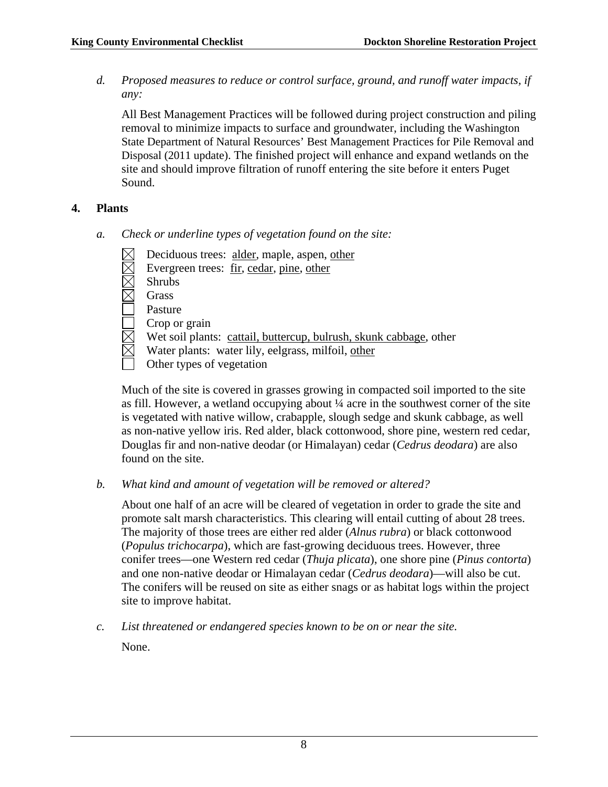*d. Proposed measures to reduce or control surface, ground, and runoff water impacts, if any:* 

All Best Management Practices will be followed during project construction and piling removal to minimize impacts to surface and groundwater, including the Washington State Department of Natural Resources' Best Management Practices for Pile Removal and Disposal (2011 update). The finished project will enhance and expand wetlands on the site and should improve filtration of runoff entering the site before it enters Puget Sound.

# **4. Plants**

- *a. Check or underline types of vegetation found on the site:* 
	- Deciduous trees: alder, maple, aspen, other
		- Evergreen trees: fir, cedar, pine, other
	- Shrubs
	- Grass
	- Pasture
	- Crop or grain
	- Wet soil plants: cattail, buttercup, bulrush, skunk cabbage, other
	- Water plants: water lily, eelgrass, milfoil, other
	- Other types of vegetation

Much of the site is covered in grasses growing in compacted soil imported to the site as fill. However, a wetland occupying about  $\frac{1}{4}$  acre in the southwest corner of the site is vegetated with native willow, crabapple, slough sedge and skunk cabbage, as well as non-native yellow iris. Red alder, black cottonwood, shore pine, western red cedar, Douglas fir and non-native deodar (or Himalayan) cedar (*Cedrus deodara*) are also found on the site.

*b. What kind and amount of vegetation will be removed or altered?* 

About one half of an acre will be cleared of vegetation in order to grade the site and promote salt marsh characteristics. This clearing will entail cutting of about 28 trees. The majority of those trees are either red alder (*Alnus rubra*) or black cottonwood (*Populus trichocarpa*), which are fast-growing deciduous trees. However, three conifer trees—one Western red cedar (*Thuja plicata*), one shore pine (*Pinus contorta*) and one non-native deodar or Himalayan cedar (*Cedrus deodara*)—will also be cut. The conifers will be reused on site as either snags or as habitat logs within the project site to improve habitat.

*c. List threatened or endangered species known to be on or near the site.*  None.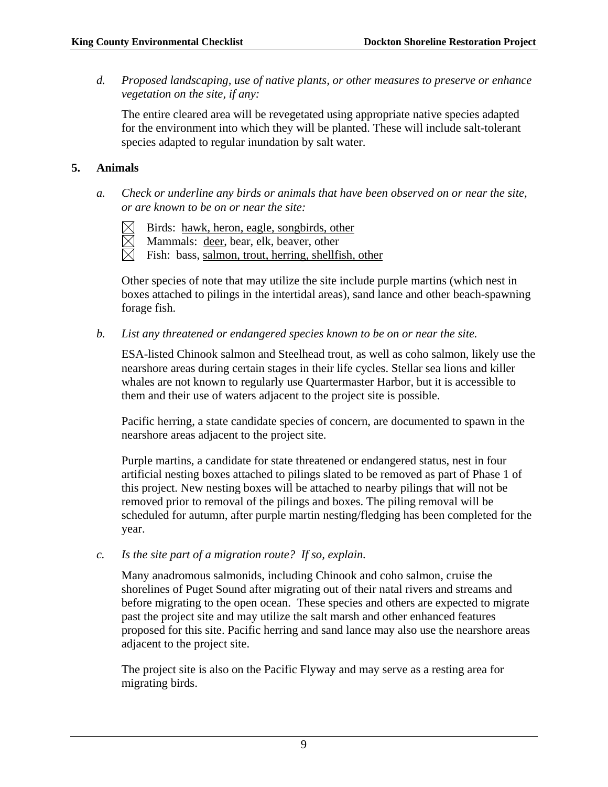*d. Proposed landscaping, use of native plants, or other measures to preserve or enhance vegetation on the site, if any:* 

The entire cleared area will be revegetated using appropriate native species adapted for the environment into which they will be planted. These will include salt-tolerant species adapted to regular inundation by salt water.

#### **5. Animals**

- *a. Check or underline any birds or animals that have been observed on or near the site, or are known to be on or near the site:* 
	-

 Birds: hawk, heron, eagle, songbirds, other Mammals: deer, bear, elk, beaver, other

Fish: bass, salmon, trout, herring, shellfish, other

Other species of note that may utilize the site include purple martins (which nest in boxes attached to pilings in the intertidal areas), sand lance and other beach-spawning forage fish.

*b. List any threatened or endangered species known to be on or near the site.* 

ESA-listed Chinook salmon and Steelhead trout, as well as coho salmon, likely use the nearshore areas during certain stages in their life cycles. Stellar sea lions and killer whales are not known to regularly use Quartermaster Harbor, but it is accessible to them and their use of waters adjacent to the project site is possible.

Pacific herring, a state candidate species of concern, are documented to spawn in the nearshore areas adjacent to the project site.

Purple martins, a candidate for state threatened or endangered status, nest in four artificial nesting boxes attached to pilings slated to be removed as part of Phase 1 of this project. New nesting boxes will be attached to nearby pilings that will not be removed prior to removal of the pilings and boxes. The piling removal will be scheduled for autumn, after purple martin nesting/fledging has been completed for the year.

*c. Is the site part of a migration route? If so, explain.* 

Many anadromous salmonids, including Chinook and coho salmon, cruise the shorelines of Puget Sound after migrating out of their natal rivers and streams and before migrating to the open ocean. These species and others are expected to migrate past the project site and may utilize the salt marsh and other enhanced features proposed for this site. Pacific herring and sand lance may also use the nearshore areas adjacent to the project site.

The project site is also on the Pacific Flyway and may serve as a resting area for migrating birds.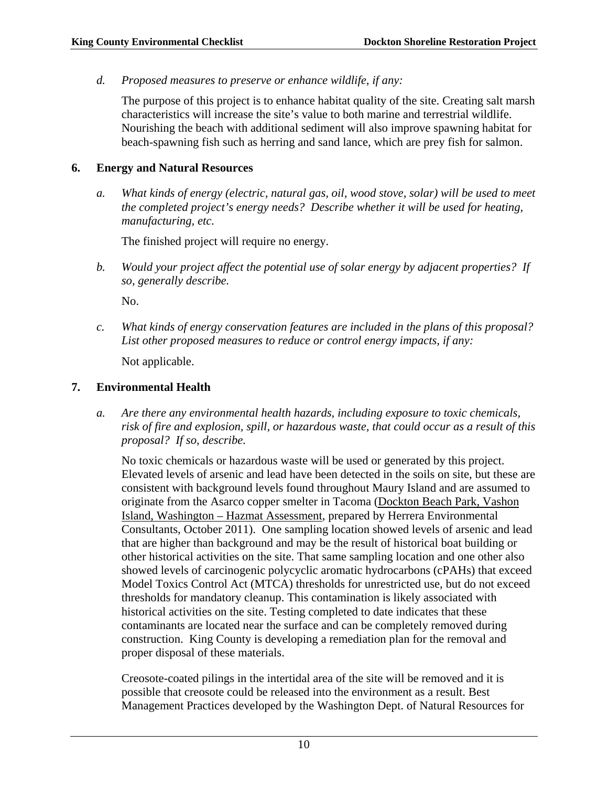*d. Proposed measures to preserve or enhance wildlife, if any:* 

The purpose of this project is to enhance habitat quality of the site. Creating salt marsh characteristics will increase the site's value to both marine and terrestrial wildlife. Nourishing the beach with additional sediment will also improve spawning habitat for beach-spawning fish such as herring and sand lance, which are prey fish for salmon.

#### **6. Energy and Natural Resources**

*a. What kinds of energy (electric, natural gas, oil, wood stove, solar) will be used to meet the completed project's energy needs? Describe whether it will be used for heating, manufacturing, etc.* 

The finished project will require no energy.

*b. Would your project affect the potential use of solar energy by adjacent properties? If so, generally describe.* 

No.

*c. What kinds of energy conservation features are included in the plans of this proposal? List other proposed measures to reduce or control energy impacts, if any:* 

Not applicable.

#### **7. Environmental Health**

*a. Are there any environmental health hazards, including exposure to toxic chemicals, risk of fire and explosion, spill, or hazardous waste, that could occur as a result of this proposal? If so, describe.* 

No toxic chemicals or hazardous waste will be used or generated by this project. Elevated levels of arsenic and lead have been detected in the soils on site, but these are consistent with background levels found throughout Maury Island and are assumed to originate from the Asarco copper smelter in Tacoma (Dockton Beach Park, Vashon Island, Washington – Hazmat Assessment, prepared by Herrera Environmental Consultants, October 2011). One sampling location showed levels of arsenic and lead that are higher than background and may be the result of historical boat building or other historical activities on the site. That same sampling location and one other also showed levels of carcinogenic polycyclic aromatic hydrocarbons (cPAHs) that exceed Model Toxics Control Act (MTCA) thresholds for unrestricted use, but do not exceed thresholds for mandatory cleanup. This contamination is likely associated with historical activities on the site. Testing completed to date indicates that these contaminants are located near the surface and can be completely removed during construction. King County is developing a remediation plan for the removal and proper disposal of these materials.

Creosote-coated pilings in the intertidal area of the site will be removed and it is possible that creosote could be released into the environment as a result. Best Management Practices developed by the Washington Dept. of Natural Resources for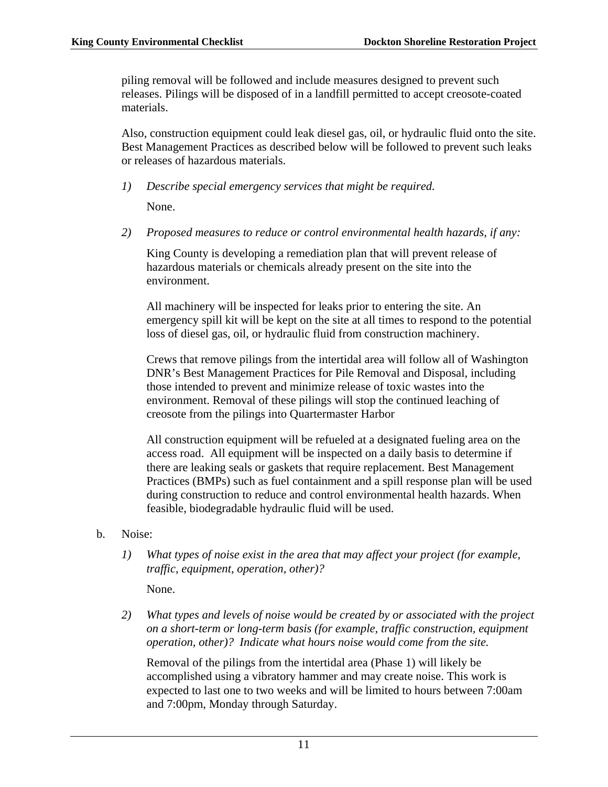piling removal will be followed and include measures designed to prevent such releases. Pilings will be disposed of in a landfill permitted to accept creosote-coated materials.

Also, construction equipment could leak diesel gas, oil, or hydraulic fluid onto the site. Best Management Practices as described below will be followed to prevent such leaks or releases of hazardous materials.

*1) Describe special emergency services that might be required.* 

None.

*2) Proposed measures to reduce or control environmental health hazards, if any:* 

King County is developing a remediation plan that will prevent release of hazardous materials or chemicals already present on the site into the environment.

All machinery will be inspected for leaks prior to entering the site. An emergency spill kit will be kept on the site at all times to respond to the potential loss of diesel gas, oil, or hydraulic fluid from construction machinery.

Crews that remove pilings from the intertidal area will follow all of Washington DNR's Best Management Practices for Pile Removal and Disposal, including those intended to prevent and minimize release of toxic wastes into the environment. Removal of these pilings will stop the continued leaching of creosote from the pilings into Quartermaster Harbor

All construction equipment will be refueled at a designated fueling area on the access road. All equipment will be inspected on a daily basis to determine if there are leaking seals or gaskets that require replacement. Best Management Practices (BMPs) such as fuel containment and a spill response plan will be used during construction to reduce and control environmental health hazards. When feasible, biodegradable hydraulic fluid will be used.

- b. Noise:
	- *1) What types of noise exist in the area that may affect your project (for example, traffic, equipment, operation, other)?*

None.

*2) What types and levels of noise would be created by or associated with the project on a short-term or long-term basis (for example, traffic construction, equipment operation, other)? Indicate what hours noise would come from the site.* 

Removal of the pilings from the intertidal area (Phase 1) will likely be accomplished using a vibratory hammer and may create noise. This work is expected to last one to two weeks and will be limited to hours between 7:00am and 7:00pm, Monday through Saturday.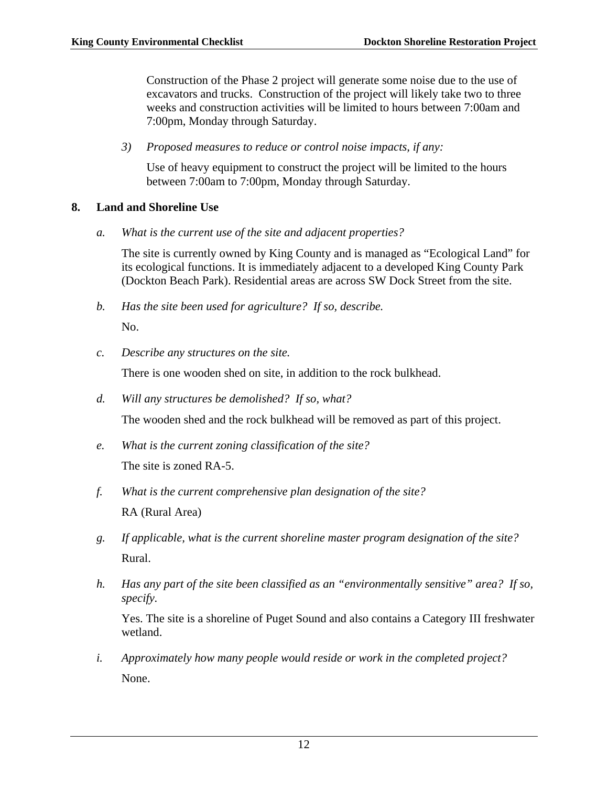Construction of the Phase 2 project will generate some noise due to the use of excavators and trucks. Construction of the project will likely take two to three weeks and construction activities will be limited to hours between 7:00am and 7:00pm, Monday through Saturday.

*3) Proposed measures to reduce or control noise impacts, if any:* 

Use of heavy equipment to construct the project will be limited to the hours between 7:00am to 7:00pm, Monday through Saturday.

#### **8. Land and Shoreline Use**

*a. What is the current use of the site and adjacent properties?* 

The site is currently owned by King County and is managed as "Ecological Land" for its ecological functions. It is immediately adjacent to a developed King County Park (Dockton Beach Park). Residential areas are across SW Dock Street from the site.

*b. Has the site been used for agriculture? If so, describe.* 

No.

*c. Describe any structures on the site.* 

There is one wooden shed on site, in addition to the rock bulkhead.

*d. Will any structures be demolished? If so, what?* 

The wooden shed and the rock bulkhead will be removed as part of this project.

- *e. What is the current zoning classification of the site?*  The site is zoned RA-5.
- *f. What is the current comprehensive plan designation of the site?*  RA (Rural Area)
- *g. If applicable, what is the current shoreline master program designation of the site?*  Rural.
- *h. Has any part of the site been classified as an "environmentally sensitive" area? If so, specify.*

Yes. The site is a shoreline of Puget Sound and also contains a Category III freshwater wetland.

*i. Approximately how many people would reside or work in the completed project?*  None.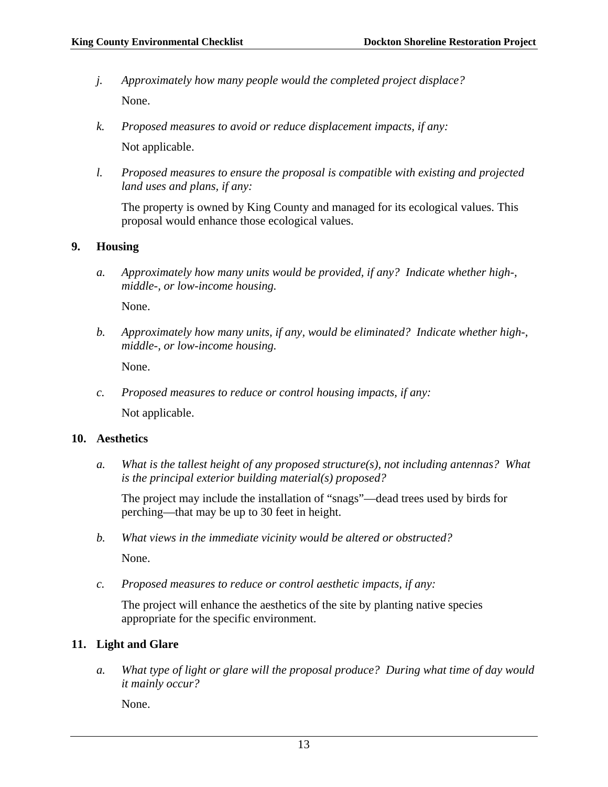- *j. Approximately how many people would the completed project displace?*  None.
- *k. Proposed measures to avoid or reduce displacement impacts, if any:*  Not applicable.
- *l. Proposed measures to ensure the proposal is compatible with existing and projected land uses and plans, if any:*

The property is owned by King County and managed for its ecological values. This proposal would enhance those ecological values.

#### **9. Housing**

*a. Approximately how many units would be provided, if any? Indicate whether high-, middle-, or low-income housing.* 

None.

*b. Approximately how many units, if any, would be eliminated? Indicate whether high-, middle-, or low-income housing.* 

None.

*c. Proposed measures to reduce or control housing impacts, if any:*  Not applicable.

#### **10. Aesthetics**

*a. What is the tallest height of any proposed structure(s), not including antennas? What is the principal exterior building material(s) proposed?* 

The project may include the installation of "snags"—dead trees used by birds for perching—that may be up to 30 feet in height.

*b. What views in the immediate vicinity would be altered or obstructed?* 

None.

*c. Proposed measures to reduce or control aesthetic impacts, if any:* 

The project will enhance the aesthetics of the site by planting native species appropriate for the specific environment.

### **11. Light and Glare**

*a. What type of light or glare will the proposal produce? During what time of day would it mainly occur?* 

None.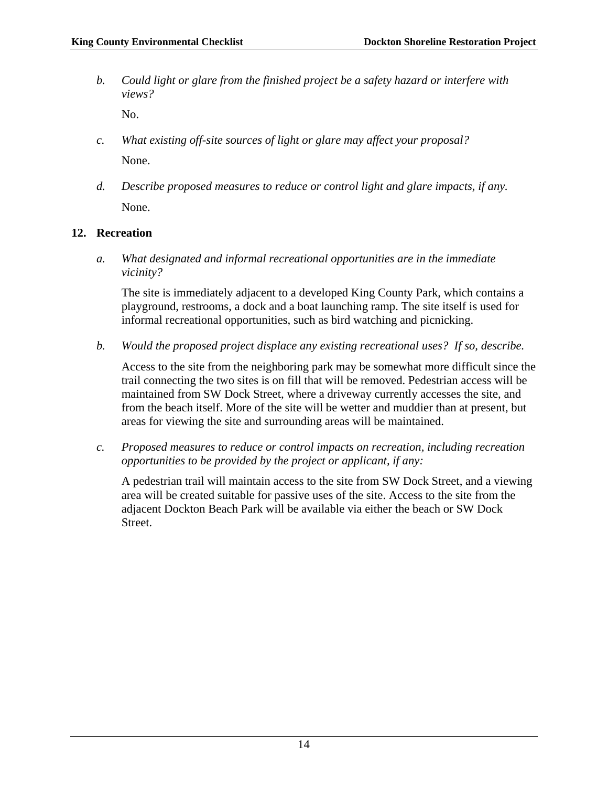*b. Could light or glare from the finished project be a safety hazard or interfere with views?* 

No.

- *c. What existing off-site sources of light or glare may affect your proposal?*  None.
- *d. Describe proposed measures to reduce or control light and glare impacts, if any.*  None.

### **12. Recreation**

*a. What designated and informal recreational opportunities are in the immediate vicinity?* 

The site is immediately adjacent to a developed King County Park, which contains a playground, restrooms, a dock and a boat launching ramp. The site itself is used for informal recreational opportunities, such as bird watching and picnicking.

*b. Would the proposed project displace any existing recreational uses? If so, describe.* 

Access to the site from the neighboring park may be somewhat more difficult since the trail connecting the two sites is on fill that will be removed. Pedestrian access will be maintained from SW Dock Street, where a driveway currently accesses the site, and from the beach itself. More of the site will be wetter and muddier than at present, but areas for viewing the site and surrounding areas will be maintained.

*c. Proposed measures to reduce or control impacts on recreation, including recreation opportunities to be provided by the project or applicant, if any:* 

A pedestrian trail will maintain access to the site from SW Dock Street, and a viewing area will be created suitable for passive uses of the site. Access to the site from the adjacent Dockton Beach Park will be available via either the beach or SW Dock Street.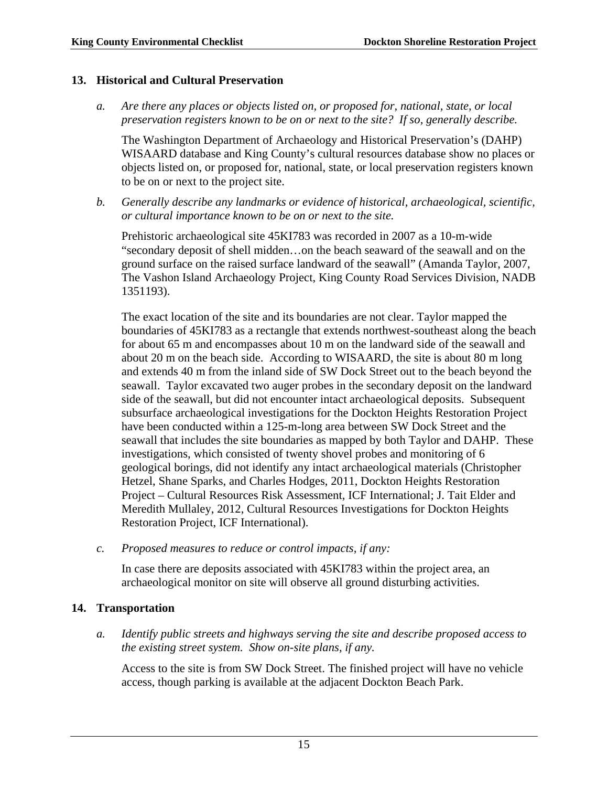# **13. Historical and Cultural Preservation**

*a. Are there any places or objects listed on, or proposed for, national, state, or local preservation registers known to be on or next to the site? If so, generally describe.* 

The Washington Department of Archaeology and Historical Preservation's (DAHP) WISAARD database and King County's cultural resources database show no places or objects listed on, or proposed for, national, state, or local preservation registers known to be on or next to the project site.

*b. Generally describe any landmarks or evidence of historical, archaeological, scientific, or cultural importance known to be on or next to the site.* 

Prehistoric archaeological site 45KI783 was recorded in 2007 as a 10-m-wide "secondary deposit of shell midden…on the beach seaward of the seawall and on the ground surface on the raised surface landward of the seawall" (Amanda Taylor, 2007, The Vashon Island Archaeology Project, King County Road Services Division, NADB 1351193).

The exact location of the site and its boundaries are not clear. Taylor mapped the boundaries of 45KI783 as a rectangle that extends northwest-southeast along the beach for about 65 m and encompasses about 10 m on the landward side of the seawall and about 20 m on the beach side. According to WISAARD, the site is about 80 m long and extends 40 m from the inland side of SW Dock Street out to the beach beyond the seawall. Taylor excavated two auger probes in the secondary deposit on the landward side of the seawall, but did not encounter intact archaeological deposits. Subsequent subsurface archaeological investigations for the Dockton Heights Restoration Project have been conducted within a 125-m-long area between SW Dock Street and the seawall that includes the site boundaries as mapped by both Taylor and DAHP. These investigations, which consisted of twenty shovel probes and monitoring of 6 geological borings, did not identify any intact archaeological materials (Christopher Hetzel, Shane Sparks, and Charles Hodges, 2011, Dockton Heights Restoration Project – Cultural Resources Risk Assessment, ICF International; J. Tait Elder and Meredith Mullaley, 2012, Cultural Resources Investigations for Dockton Heights Restoration Project, ICF International).

*c. Proposed measures to reduce or control impacts, if any:* 

In case there are deposits associated with 45KI783 within the project area, an archaeological monitor on site will observe all ground disturbing activities.

# **14. Transportation**

*a. Identify public streets and highways serving the site and describe proposed access to the existing street system. Show on-site plans, if any.* 

Access to the site is from SW Dock Street. The finished project will have no vehicle access, though parking is available at the adjacent Dockton Beach Park.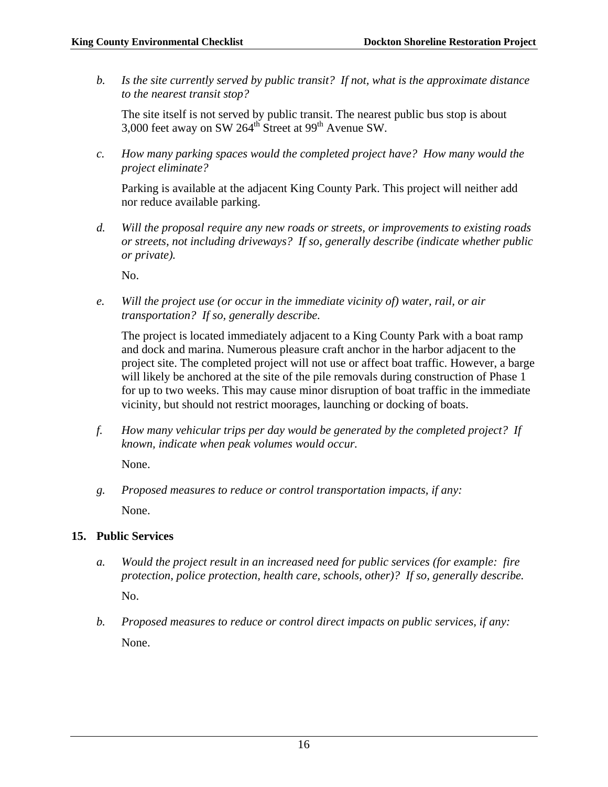*b. Is the site currently served by public transit? If not, what is the approximate distance to the nearest transit stop?* 

The site itself is not served by public transit. The nearest public bus stop is about 3.000 feet away on SW 264<sup>th</sup> Street at 99<sup>th</sup> Avenue SW.

*c. How many parking spaces would the completed project have? How many would the project eliminate?* 

Parking is available at the adjacent King County Park. This project will neither add nor reduce available parking.

*d. Will the proposal require any new roads or streets, or improvements to existing roads or streets, not including driveways? If so, generally describe (indicate whether public or private).* 

No.

*e. Will the project use (or occur in the immediate vicinity of) water, rail, or air transportation? If so, generally describe.* 

The project is located immediately adjacent to a King County Park with a boat ramp and dock and marina. Numerous pleasure craft anchor in the harbor adjacent to the project site. The completed project will not use or affect boat traffic. However, a barge will likely be anchored at the site of the pile removals during construction of Phase 1 for up to two weeks. This may cause minor disruption of boat traffic in the immediate vicinity, but should not restrict moorages, launching or docking of boats.

*f. How many vehicular trips per day would be generated by the completed project? If known, indicate when peak volumes would occur.* 

None.

*g. Proposed measures to reduce or control transportation impacts, if any:*  None.

### **15. Public Services**

- *a. Would the project result in an increased need for public services (for example: fire protection, police protection, health care, schools, other)? If so, generally describe.*  No.
- *b. Proposed measures to reduce or control direct impacts on public services, if any:*  None.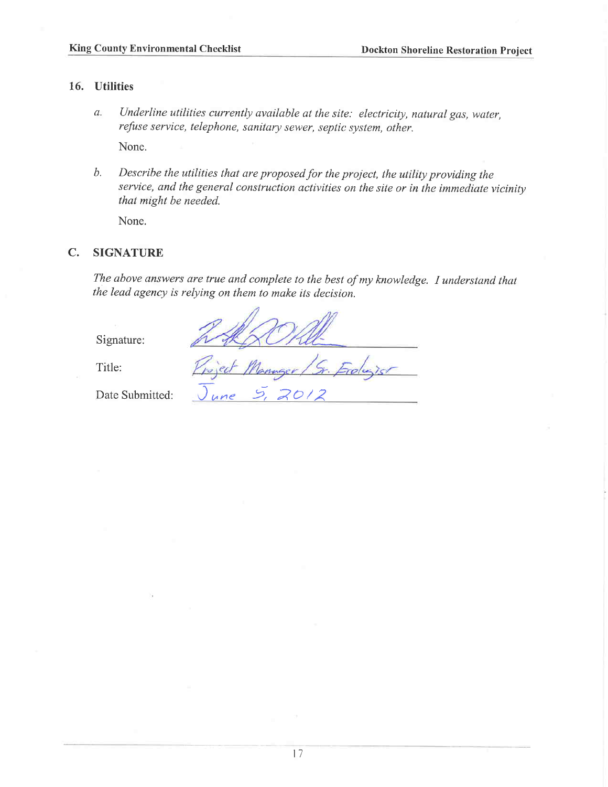#### 16. Utilities

Underline utilities currently available at the site: electricity, natural gas, water,  $\overline{a}$ . refuse service, telephone, sanitary sewer, septic system, other.

None.

 $b$ . Describe the utilities that are proposed for the project, the utility providing the service, and the general construction activities on the site or in the immediate vicinity that might be needed.

None.

#### $\mathbf{C}$ . **SIGNATURE**

The above answers are true and complete to the best of my knowledge. I understand that the lead agency is relying on them to make its decision.

| ed Manager / Sr. Erologist |  |
|----------------------------|--|
| 2, 20/2                    |  |

i.

Signature:

Title:

Date Submitted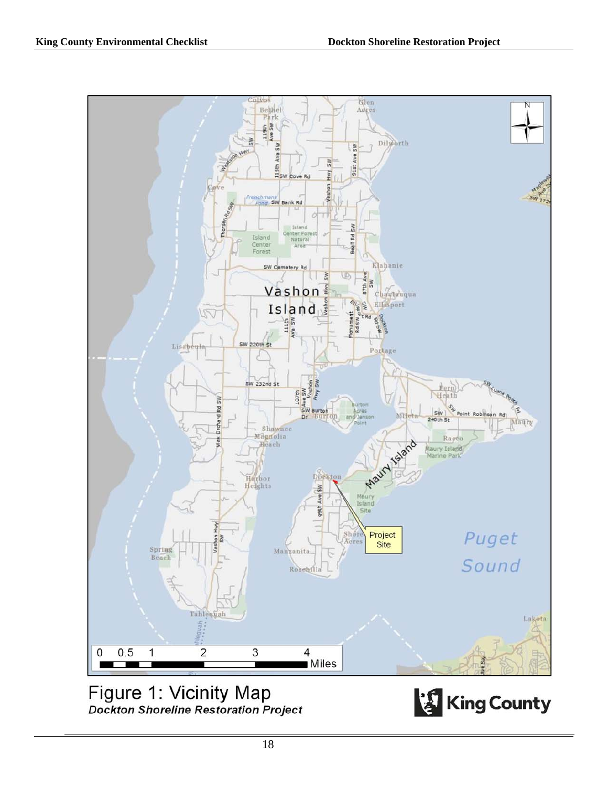

Figure 1: Vicinity Map Dockton Shoreline Restoration Project

**King County**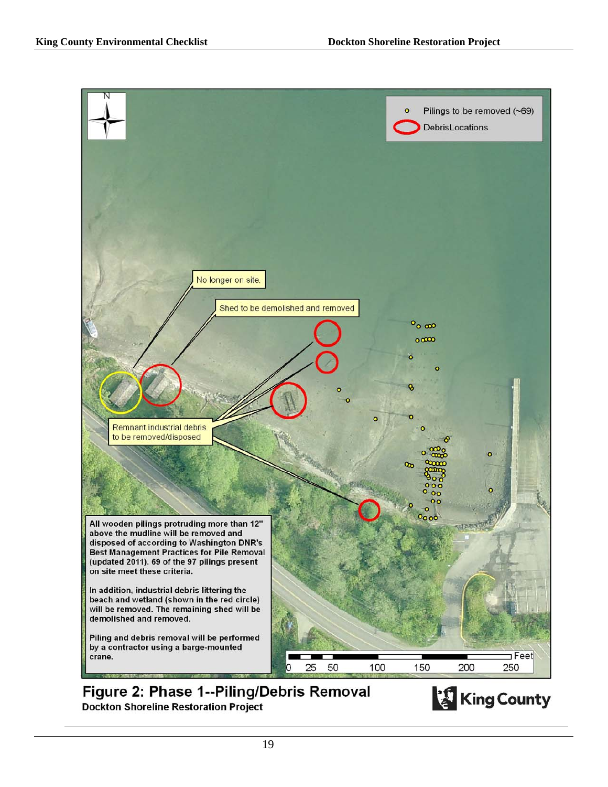

# Figure 2: Phase 1--Piling/Debris Removal **Dockton Shoreline Restoration Project**

# King County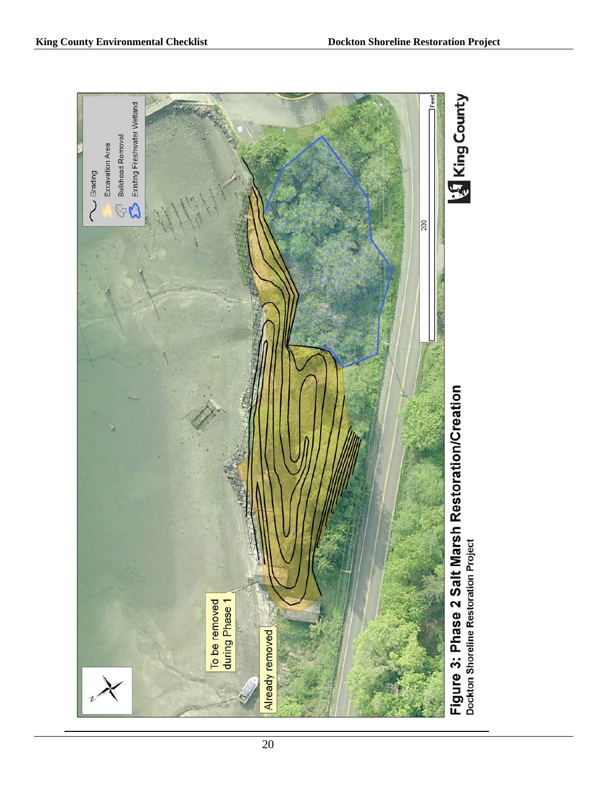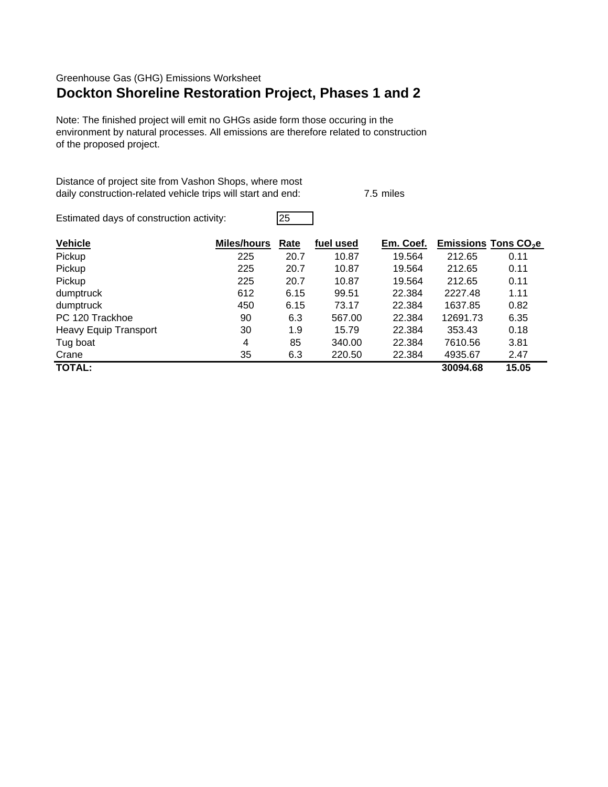# Greenhouse Gas (GHG) Emissions Worksheet **Dockton Shoreline Restoration Project, Phases 1 and 2**

Note: The finished project will emit no GHGs aside form those occuring in the environment by natural processes. All emissions are therefore related to construction of the proposed project.

Distance of project site from Vashon Shops, where most daily construction-related vehicle trips will start and end:

7.5 miles

Estimated days of construction activity: 25

| <b>Vehicle</b>               | <b>Miles/hours</b> | Rate | fuel used | Em. Coef. |          | <b>Emissions Tons CO<sub>2</sub>e</b> |
|------------------------------|--------------------|------|-----------|-----------|----------|---------------------------------------|
| Pickup                       | 225                | 20.7 | 10.87     | 19.564    | 212.65   | 0.11                                  |
| Pickup                       | 225                | 20.7 | 10.87     | 19.564    | 212.65   | 0.11                                  |
| Pickup                       | 225                | 20.7 | 10.87     | 19.564    | 212.65   | 0.11                                  |
| dumptruck                    | 612                | 6.15 | 99.51     | 22.384    | 2227.48  | 1.11                                  |
| dumptruck                    | 450                | 6.15 | 73.17     | 22.384    | 1637.85  | 0.82                                  |
| PC 120 Trackhoe              | 90                 | 6.3  | 567.00    | 22.384    | 12691.73 | 6.35                                  |
| <b>Heavy Equip Transport</b> | 30                 | 1.9  | 15.79     | 22.384    | 353.43   | 0.18                                  |
| Tug boat                     | 4                  | 85   | 340.00    | 22.384    | 7610.56  | 3.81                                  |
| Crane                        | 35                 | 6.3  | 220.50    | 22.384    | 4935.67  | 2.47                                  |
| <b>TOTAL:</b>                |                    |      |           |           | 30094.68 | 15.05                                 |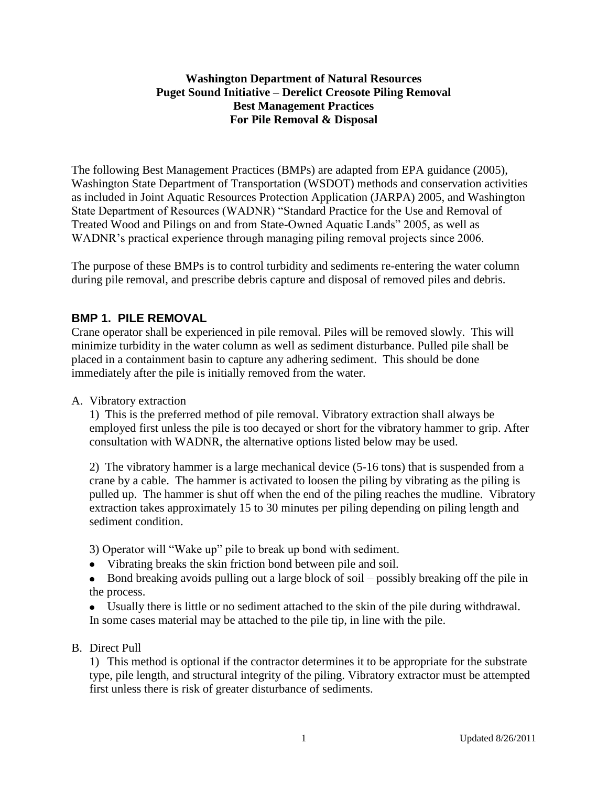#### **Washington Department of Natural Resources Puget Sound Initiative – Derelict Creosote Piling Removal Best Management Practices For Pile Removal & Disposal**

The following Best Management Practices (BMPs) are adapted from EPA guidance (2005), Washington State Department of Transportation (WSDOT) methods and conservation activities as included in Joint Aquatic Resources Protection Application (JARPA) 2005, and Washington State Department of Resources (WADNR) "Standard Practice for the Use and Removal of Treated Wood and Pilings on and from State-Owned Aquatic Lands" 2005, as well as WADNR's practical experience through managing piling removal projects since 2006.

The purpose of these BMPs is to control turbidity and sediments re-entering the water column during pile removal, and prescribe debris capture and disposal of removed piles and debris.

### **BMP 1. PILE REMOVAL**

Crane operator shall be experienced in pile removal. Piles will be removed slowly. This will minimize turbidity in the water column as well as sediment disturbance. Pulled pile shall be placed in a containment basin to capture any adhering sediment. This should be done immediately after the pile is initially removed from the water.

#### A. Vibratory extraction

1) This is the preferred method of pile removal. Vibratory extraction shall always be employed first unless the pile is too decayed or short for the vibratory hammer to grip. After consultation with WADNR, the alternative options listed below may be used.

2) The vibratory hammer is a large mechanical device (5-16 tons) that is suspended from a crane by a cable. The hammer is activated to loosen the piling by vibrating as the piling is pulled up. The hammer is shut off when the end of the piling reaches the mudline. Vibratory extraction takes approximately 15 to 30 minutes per piling depending on piling length and sediment condition.

3) Operator will "Wake up" pile to break up bond with sediment.

- Vibrating breaks the skin friction bond between pile and soil.
- Bond breaking avoids pulling out a large block of soil possibly breaking off the pile in the process.
- Usually there is little or no sediment attached to the skin of the pile during withdrawal. In some cases material may be attached to the pile tip, in line with the pile.

#### B. Direct Pull

1) This method is optional if the contractor determines it to be appropriate for the substrate type, pile length, and structural integrity of the piling. Vibratory extractor must be attempted first unless there is risk of greater disturbance of sediments.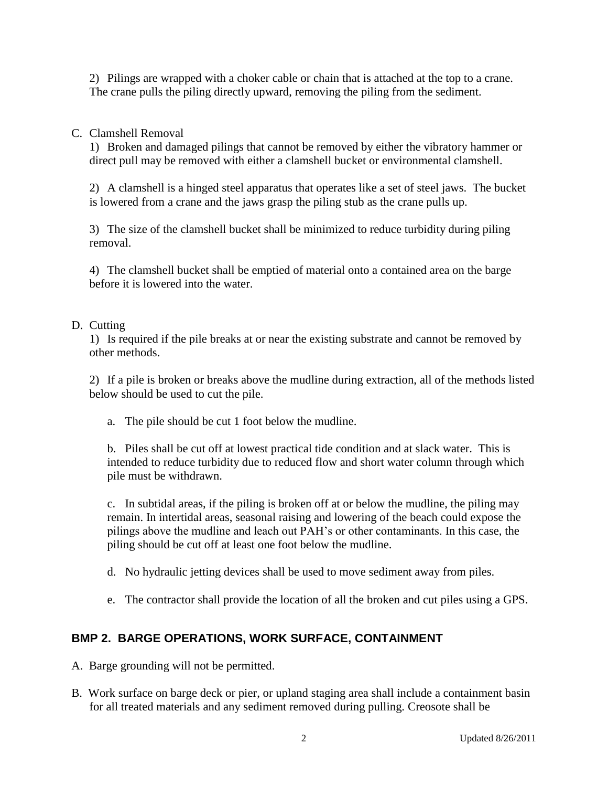2) Pilings are wrapped with a choker cable or chain that is attached at the top to a crane. The crane pulls the piling directly upward, removing the piling from the sediment.

#### C. Clamshell Removal

1) Broken and damaged pilings that cannot be removed by either the vibratory hammer or direct pull may be removed with either a clamshell bucket or environmental clamshell.

2) A clamshell is a hinged steel apparatus that operates like a set of steel jaws. The bucket is lowered from a crane and the jaws grasp the piling stub as the crane pulls up.

3) The size of the clamshell bucket shall be minimized to reduce turbidity during piling removal.

4) The clamshell bucket shall be emptied of material onto a contained area on the barge before it is lowered into the water.

#### D. Cutting

1) Is required if the pile breaks at or near the existing substrate and cannot be removed by other methods.

2) If a pile is broken or breaks above the mudline during extraction, all of the methods listed below should be used to cut the pile.

a. The pile should be cut 1 foot below the mudline.

b. Piles shall be cut off at lowest practical tide condition and at slack water. This is intended to reduce turbidity due to reduced flow and short water column through which pile must be withdrawn.

c. In subtidal areas, if the piling is broken off at or below the mudline, the piling may remain. In intertidal areas, seasonal raising and lowering of the beach could expose the pilings above the mudline and leach out PAH's or other contaminants. In this case, the piling should be cut off at least one foot below the mudline.

- d. No hydraulic jetting devices shall be used to move sediment away from piles.
- e. The contractor shall provide the location of all the broken and cut piles using a GPS.

# **BMP 2. BARGE OPERATIONS, WORK SURFACE, CONTAINMENT**

A. Barge grounding will not be permitted.

B. Work surface on barge deck or pier, or upland staging area shall include a containment basin for all treated materials and any sediment removed during pulling. Creosote shall be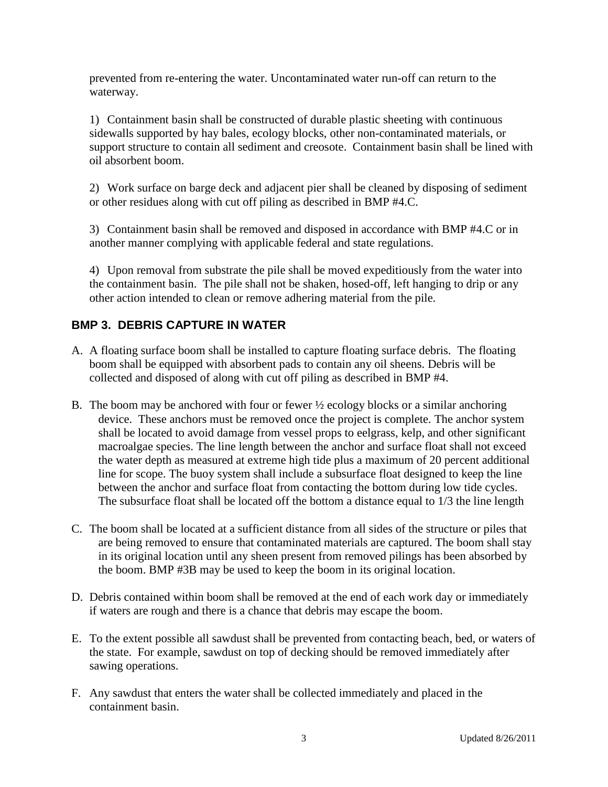prevented from re-entering the water. Uncontaminated water run-off can return to the waterway.

1) Containment basin shall be constructed of durable plastic sheeting with continuous sidewalls supported by hay bales, ecology blocks, other non-contaminated materials, or support structure to contain all sediment and creosote. Containment basin shall be lined with oil absorbent boom.

2) Work surface on barge deck and adjacent pier shall be cleaned by disposing of sediment or other residues along with cut off piling as described in BMP #4.C.

3) Containment basin shall be removed and disposed in accordance with BMP #4.C or in another manner complying with applicable federal and state regulations.

4) Upon removal from substrate the pile shall be moved expeditiously from the water into the containment basin. The pile shall not be shaken, hosed-off, left hanging to drip or any other action intended to clean or remove adhering material from the pile.

# **BMP 3. DEBRIS CAPTURE IN WATER**

- A. A floating surface boom shall be installed to capture floating surface debris. The floating boom shall be equipped with absorbent pads to contain any oil sheens. Debris will be collected and disposed of along with cut off piling as described in BMP #4.
- B. The boom may be anchored with four or fewer  $\frac{1}{2}$  ecology blocks or a similar anchoring device. These anchors must be removed once the project is complete. The anchor system shall be located to avoid damage from vessel props to eelgrass, kelp, and other significant macroalgae species. The line length between the anchor and surface float shall not exceed the water depth as measured at extreme high tide plus a maximum of 20 percent additional line for scope. The buoy system shall include a subsurface float designed to keep the line between the anchor and surface float from contacting the bottom during low tide cycles. The subsurface float shall be located off the bottom a distance equal to 1/3 the line length
- C. The boom shall be located at a sufficient distance from all sides of the structure or piles that are being removed to ensure that contaminated materials are captured. The boom shall stay in its original location until any sheen present from removed pilings has been absorbed by the boom. BMP #3B may be used to keep the boom in its original location.
- D. Debris contained within boom shall be removed at the end of each work day or immediately if waters are rough and there is a chance that debris may escape the boom.
- E. To the extent possible all sawdust shall be prevented from contacting beach, bed, or waters of the state. For example, sawdust on top of decking should be removed immediately after sawing operations.
- F. Any sawdust that enters the water shall be collected immediately and placed in the containment basin.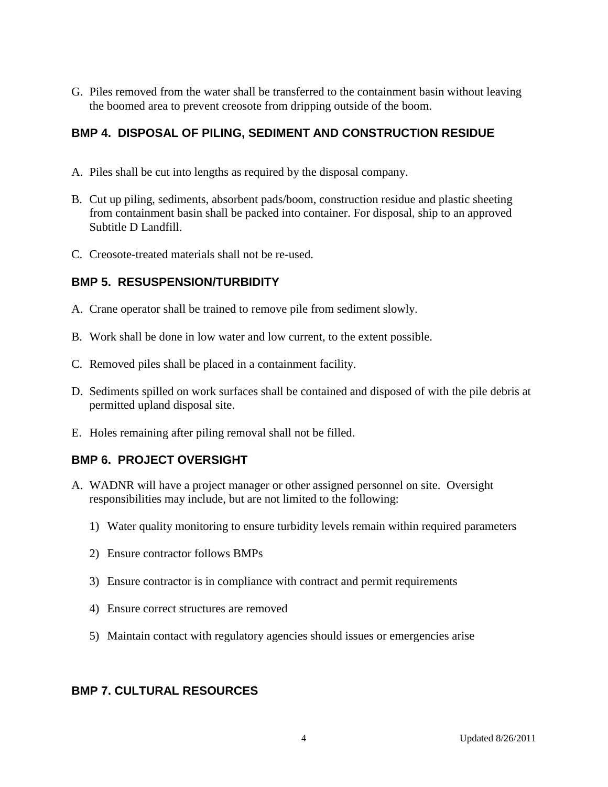G. Piles removed from the water shall be transferred to the containment basin without leaving the boomed area to prevent creosote from dripping outside of the boom.

# **BMP 4. DISPOSAL OF PILING, SEDIMENT AND CONSTRUCTION RESIDUE**

- A. Piles shall be cut into lengths as required by the disposal company.
- B. Cut up piling, sediments, absorbent pads/boom, construction residue and plastic sheeting from containment basin shall be packed into container. For disposal, ship to an approved Subtitle D Landfill.
- C. Creosote-treated materials shall not be re-used.

#### **BMP 5. RESUSPENSION/TURBIDITY**

- A. Crane operator shall be trained to remove pile from sediment slowly.
- B. Work shall be done in low water and low current, to the extent possible.
- C. Removed piles shall be placed in a containment facility.
- D. Sediments spilled on work surfaces shall be contained and disposed of with the pile debris at permitted upland disposal site.
- E. Holes remaining after piling removal shall not be filled.

### **BMP 6. PROJECT OVERSIGHT**

- A. WADNR will have a project manager or other assigned personnel on site. Oversight responsibilities may include, but are not limited to the following:
	- 1) Water quality monitoring to ensure turbidity levels remain within required parameters
	- 2) Ensure contractor follows BMPs
	- 3) Ensure contractor is in compliance with contract and permit requirements
	- 4) Ensure correct structures are removed
	- 5) Maintain contact with regulatory agencies should issues or emergencies arise

### **BMP 7. CULTURAL RESOURCES**